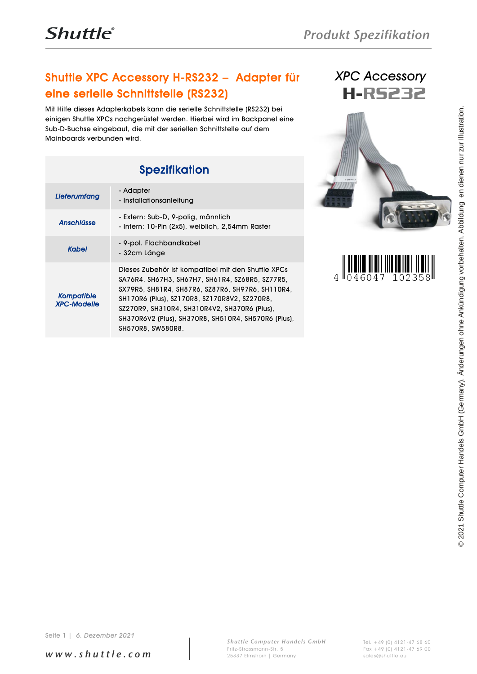## Shuttle XPC Accessory H-RS232 – Adapter für eine serielle Schnittstelle (RS232)

Mit Hilfe dieses Adapterkabels kann die serielle Schnittstelle (RS232) bei einigen Shuttle XPCs nachgerüstet werden. Hierbei wird im Backpanel eine Sub-D-Buchse eingebaut, die mit der seriellen Schnittstelle auf dem Mainboards verbunden wird.

## Spezifikation

| Mit Hilfe dieses Adapterkabels kann die serielle Schnittstelle (RS232) bei<br>einigen Shuttle XPCs nachgerüstet werden. Hierbei wird im Backpanel eine<br>Sub-D-Buchse eingebaut, die mit der seriellen Schnittstelle auf dem<br>Mainboards verbunden wird. |                                                                                                                                                                                                                                                                                                                                       |                               |                                                                                                                                     |
|-------------------------------------------------------------------------------------------------------------------------------------------------------------------------------------------------------------------------------------------------------------|---------------------------------------------------------------------------------------------------------------------------------------------------------------------------------------------------------------------------------------------------------------------------------------------------------------------------------------|-------------------------------|-------------------------------------------------------------------------------------------------------------------------------------|
|                                                                                                                                                                                                                                                             | <b>Spezifikation</b>                                                                                                                                                                                                                                                                                                                  |                               |                                                                                                                                     |
| Lieferumfang                                                                                                                                                                                                                                                | - Adapter<br>- Installationsanleitung                                                                                                                                                                                                                                                                                                 |                               |                                                                                                                                     |
| <b>Anschlüsse</b>                                                                                                                                                                                                                                           | - Extern: Sub-D, 9-polig, männlich<br>- Intern: 10-Pin (2x5), weiblich, 2,54mm Raster                                                                                                                                                                                                                                                 |                               |                                                                                                                                     |
| <b>Kabel</b>                                                                                                                                                                                                                                                | - 9-pol. Flachbandkabel<br>- 32cm Länge                                                                                                                                                                                                                                                                                               |                               |                                                                                                                                     |
| <b>Kompatible</b><br><b>XPC-Modelle</b>                                                                                                                                                                                                                     | Dieses Zubehör ist kompatibel mit den Shuttle XPCs<br>SA76R4, SH67H3, SH67H7, SH61R4, SZ68R5, SZ77R5,<br>SX79R5, SH81R4, SH87R6, SZ87R6, SH97R6, SH110R4,<br>SH170R6 (Plus), SZ170R8, SZ170R8V2, SZ270R8,<br>SZ270R9, SH310R4, SH310R4V2, SH370R6 (Plus),<br>SH370R6V2 (Plus), SH370R8, SH510R4, SH570R6 (Plus),<br>SH570R8, SW580R8. | 4 $\frac{1046047}{$<br>102358 |                                                                                                                                     |
| 6. Dezember 2021<br>Seite 1                                                                                                                                                                                                                                 |                                                                                                                                                                                                                                                                                                                                       |                               | Handels GmbH (Germany). Änderungen ohne Ankündigung vorbehalten. Abbildung en dienen nur zur Illustration.<br>2021 Shuttle Computer |







*w w w . s h u t t l e . c o m*